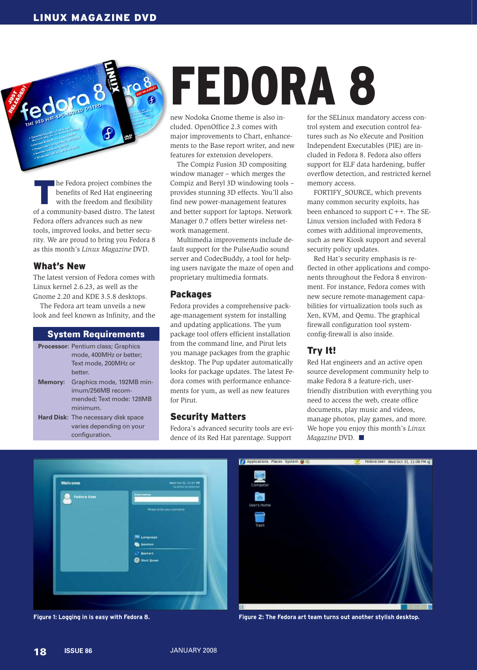In the Fedora project combines the benefits of Red Hat engineering with the freedom and flexibility of a community-based distro. The latest he Fedora project combines the benefits of Red Hat engineering with the freedom and flexibility Fedora offers advances such as new tools, improved looks, and better security. We are proud to bring you Fedora 8 as this month's *Linux Magazine* DVD.

# What's New

dorg

The latest version of Fedora comes with Linux kernel 2.6.23, as well as the Gnome 2.20 and KDE 3.5.8 desktops.

The Fedora art team unveils a new look and feel known as Infinity, and the

#### System Requirements

|         | <b>Processor: Pentium class; Graphics</b>  |
|---------|--------------------------------------------|
|         | mode, 400MHz or better;                    |
|         | Text mode, 200MHz or                       |
|         | better.                                    |
| Memory: | Graphics mode, 192MB min-                  |
|         | imum/256MB recom-                          |
|         | mended: Text mode: 128MB                   |
|         | minimum.                                   |
|         | <b>Hard Disk:</b> The necessary disk space |
|         | varies depending on your                   |
|         | configuration.                             |

# FEDORA 8

new Nodoka Gnome theme is also included. OpenOffice 2.3 comes with major improvements to Chart, enhancements to the Base report writer, and new features for extension developers.

The Compiz Fusion 3D compositing window manager – which merges the Compiz and Beryl 3D windowing tools – provides stunning 3D effects. You'll also find new power-management features and better support for laptops. Network Manager 0.7 offers better wireless network management.

Multimedia improvements include default support for the PulseAudio sound server and CodecBuddy, a tool for helping users navigate the maze of open and proprietary multimedia formats.

#### Packages

Fedora provides a comprehensive package-management system for installing and updating applications. The yum package tool offers efficient installation from the command line, and Pirut lets you manage packages from the graphic desktop. The Pup updater automatically looks for package updates. The latest Fedora comes with performance enhancements for yum, as well as new features for Pirut.

#### Security Matters

Fedora's advanced security tools are evidence of its Red Hat parentage. Support

for the SELinux mandatory access control system and execution control features such as No eXecute and Position Independent Executables (PIE) are included in Fedora 8. Fedora also offers support for ELF data hardening, buffer overflow detection, and restricted kernel memory access.

FORTIFY\_SOURCE, which prevents many common security exploits, has been enhanced to support C++. The SE-Linux version included with Fedora 8 comes with additional improvements, such as new Kiosk support and several security policy updates.

Red Hat's security emphasis is reflected in other applications and components throughout the Fedora 8 environment. For instance, Fedora comes with new secure remote-management capabilities for virtualization tools such as Xen, KVM, and Qemu. The graphical firewall configuration tool systemconfig-firewall is also inside.

# Try It!

Red Hat engineers and an active open source development community help to make Fedora 8 a feature-rich, userfriendly distribution with everything you need to access the web, create office documents, play music and videos, manage photos, play games, and more. We hope you enjoy this month's *Linux Magazine* DVD. ■





**Figure 1: Logging in is easy with Fedora 8. Figure 2: The Fedora art team turns out another stylish desktop.**